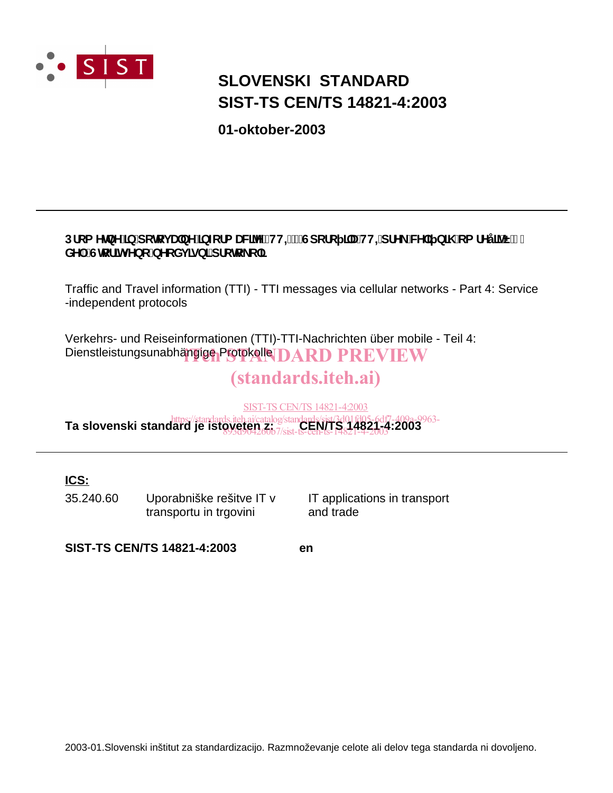

# **SIST-TS CEN/TS 14821-4:2003 SLOVENSKI STANDARD**

**01-oktober-2003**

## Dfca YlbY']b'dclcj UbY']bZtfa UNYY'fHHŁ!'Gdcfc ]'U'HH=dfY\_'WY'] b]\ 'ca fYy']<sup>x'</sup>E'(" XY. Ghcf]hj Ybc bYcXj <u>]gb]</u> dfchc\_c`]

Traffic and Travel information (TTI) - TTI messages via cellular networks - Part 4: Service -independent protocols

Verkehrs- und Reiseinformationen (TTI)-TTI-Nachrichten über mobile - Teil 4: Dienstleistungsunabhängige Protokolle IDARD PREVIEW

# (standards.iteh.ai)

SIST-TS CEN/TS 14821-4:2003

https://standards.iteh.ai/catalog/standards/sist/3d01fd05-6df7-409a-9963-<br>**Ta slovenski standard je istoveten z. 7. oktober 150 avg. 14821.** 42003 893d904260b7/sist-ts-cen-ts-14821-4-2003

## **ICS:**

35.240.60 Uporabniške rešitve IT v transportu in trgovini

IT applications in transport and trade

**SIST-TS CEN/TS 14821-4:2003 en**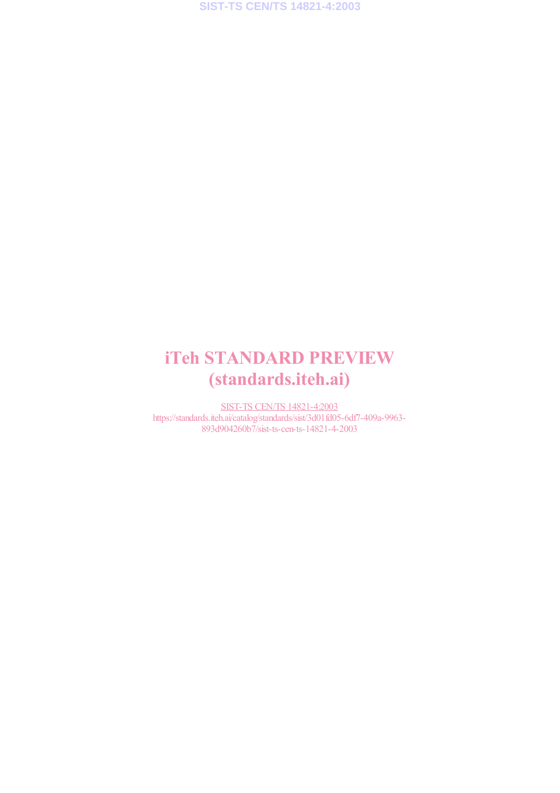# iTeh STANDARD PREVIEW (standards.iteh.ai)

SIST-TS CEN/TS 14821-4:2003 https://standards.iteh.ai/catalog/standards/sist/3d01fd05-6df7-409a-9963- 893d904260b7/sist-ts-cen-ts-14821-4-2003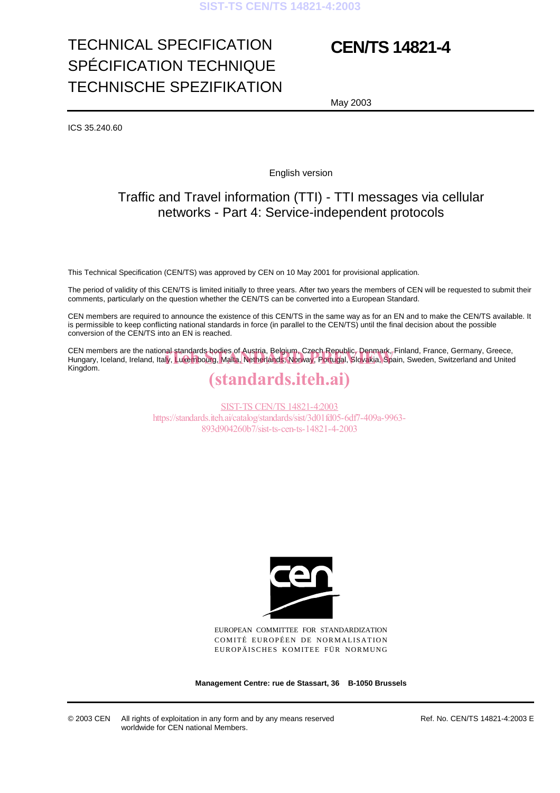# TECHNICAL SPECIFICATION SPÉCIFICATION TECHNIQUE TECHNISCHE SPEZIFIKATION

# **CEN/TS 14821-4**

May 2003

ICS 35.240.60

English version

## Traffic and Travel information (TTI) - TTI messages via cellular networks - Part 4: Service-independent protocols

This Technical Specification (CEN/TS) was approved by CEN on 10 May 2001 for provisional application.

The period of validity of this CEN/TS is limited initially to three years. After two years the members of CEN will be requested to submit their comments, particularly on the question whether the CEN/TS can be converted into a European Standard.

CEN members are required to announce the existence of this CEN/TS in the same way as for an EN and to make the CEN/TS available. It is permissible to keep conflicting national standards in force (in parallel to the CEN/TS) until the final decision about the possible conversion of the CEN/TS into an EN is reached.

CEN members are the national standards bodies of Austria, Belgium, Czech Republic, Denmark, Finland, France, Germany, Greece, CEN members are the national-standards-bodies of Austria, Belgium, Czech Republic, Denmark, Finland, France, Germany, Greece,<br>Hungary, Iceland, Ireland, Italy, Luxembourg, Malta, Netherlands, Norway, Portugal, Slovakia, Sp Kingdom.

## (standards.iteh.ai)

SIST-TS CEN/TS 14821-4:2003 https://standards.iteh.ai/catalog/standards/sist/3d01fd05-6df7-409a-9963- 893d904260b7/sist-ts-cen-ts-14821-4-2003



EUROPEAN COMMITTEE FOR STANDARDIZATION COMITÉ EUROPÉEN DE NORMALISATION EUROPÄISCHES KOMITEE FÜR NORMUNG

**Management Centre: rue de Stassart, 36 B-1050 Brussels**

© 2003 CEN All rights of exploitation in any form and by any means reserved worldwide for CEN national Members.

Ref. No. CEN/TS 14821-4:2003 E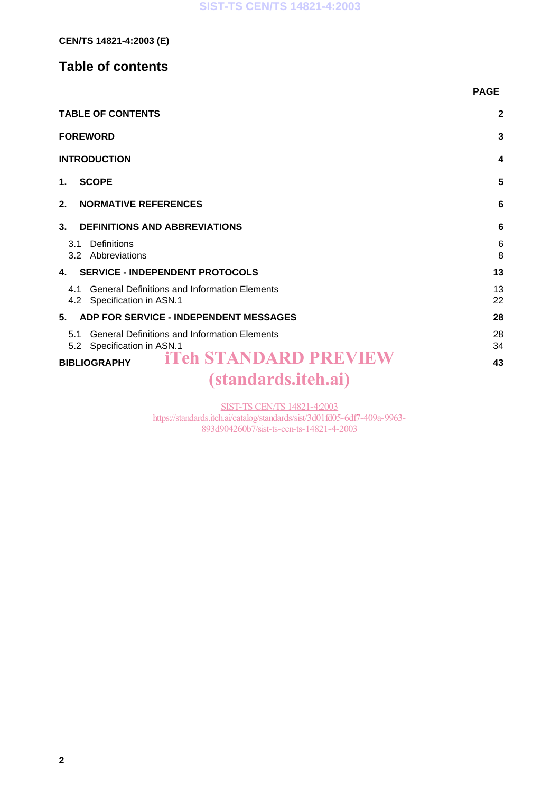## **Table of contents**

|                                                                                            | <b>PAGE</b>  |
|--------------------------------------------------------------------------------------------|--------------|
| <b>TABLE OF CONTENTS</b>                                                                   | $\mathbf{2}$ |
| <b>FOREWORD</b>                                                                            | 3            |
| <b>INTRODUCTION</b>                                                                        | 4            |
| <b>SCOPE</b><br>$\mathbf 1$ .                                                              | 5            |
| 2.<br><b>NORMATIVE REFERENCES</b>                                                          | 6            |
| 3.<br><b>DEFINITIONS AND ABBREVIATIONS</b>                                                 | 6            |
| Definitions<br>3.1<br>3.2 Abbreviations                                                    | 6<br>8       |
| <b>SERVICE - INDEPENDENT PROTOCOLS</b><br>4.                                               | 13           |
| <b>General Definitions and Information Elements</b><br>4.1<br>4.2 Specification in ASN.1   | 13<br>22     |
| ADP FOR SERVICE - INDEPENDENT MESSAGES<br>5.                                               | 28           |
| <b>General Definitions and Information Elements</b><br>51<br>Specification in ASN.1<br>5.2 | 28<br>34     |
| <b>iTeh STANDARD PREVIEW</b><br><b>BIBLIOGRAPHY</b>                                        | 43           |
| <i>(standards.iteh.ai)</i>                                                                 |              |

SIST-TS CEN/TS 14821-4:2003

https://standards.iteh.ai/catalog/standards/sist/3d01fd05-6df7-409a-9963- 893d904260b7/sist-ts-cen-ts-14821-4-2003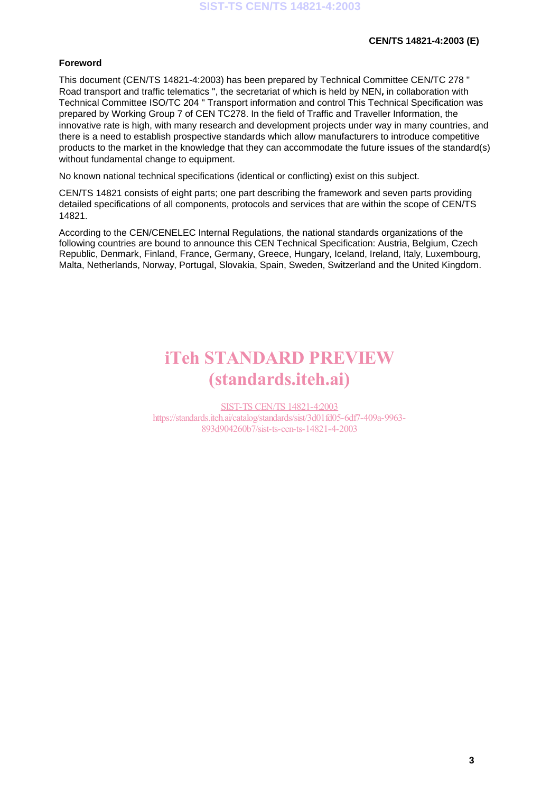#### **Foreword**

This document (CEN/TS 14821-4:2003) has been prepared by Technical Committee CEN/TC 278 " Road transport and traffic telematics ", the secretariat of which is held by NEN**,** in collaboration with Technical Committee ISO/TC 204 " Transport information and control This Technical Specification was prepared by Working Group 7 of CEN TC278. In the field of Traffic and Traveller Information, the innovative rate is high, with many research and development projects under way in many countries, and there is a need to establish prospective standards which allow manufacturers to introduce competitive products to the market in the knowledge that they can accommodate the future issues of the standard(s) without fundamental change to equipment.

No known national technical specifications (identical or conflicting) exist on this subject.

CEN/TS 14821 consists of eight parts; one part describing the framework and seven parts providing detailed specifications of all components, protocols and services that are within the scope of CEN/TS 14821.

According to the CEN/CENELEC Internal Regulations, the national standards organizations of the following countries are bound to announce this CEN Technical Specification: Austria, Belgium, Czech Republic, Denmark, Finland, France, Germany, Greece, Hungary, Iceland, Ireland, Italy, Luxembourg, Malta, Netherlands, Norway, Portugal, Slovakia, Spain, Sweden, Switzerland and the United Kingdom.

# iTeh STANDARD PREVIEW (standards.iteh.ai)

SIST-TS CEN/TS 14821-4:2003 https://standards.iteh.ai/catalog/standards/sist/3d01fd05-6df7-409a-9963- 893d904260b7/sist-ts-cen-ts-14821-4-2003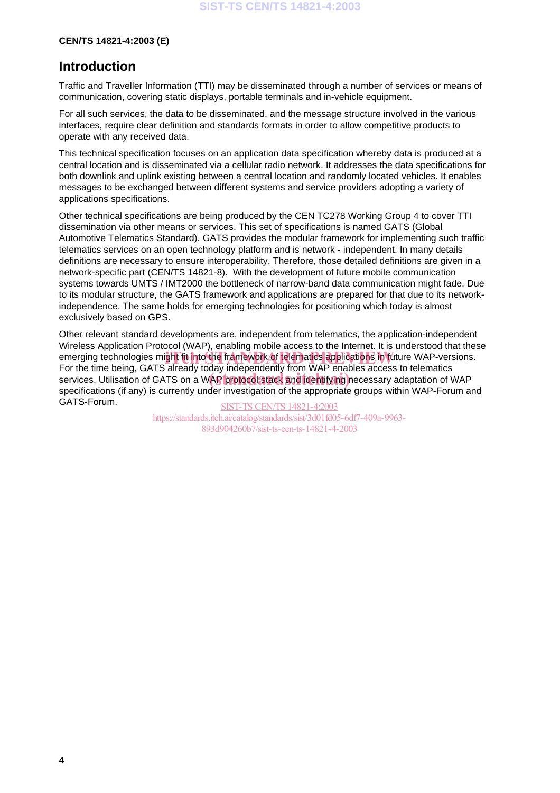## **Introduction**

Traffic and Traveller Information (TTI) may be disseminated through a number of services or means of communication, covering static displays, portable terminals and in-vehicle equipment.

For all such services, the data to be disseminated, and the message structure involved in the various interfaces, require clear definition and standards formats in order to allow competitive products to operate with any received data.

This technical specification focuses on an application data specification whereby data is produced at a central location and is disseminated via a cellular radio network. It addresses the data specifications for both downlink and uplink existing between a central location and randomly located vehicles. It enables messages to be exchanged between different systems and service providers adopting a variety of applications specifications.

Other technical specifications are being produced by the CEN TC278 Working Group 4 to cover TTI dissemination via other means or services. This set of specifications is named GATS (Global Automotive Telematics Standard). GATS provides the modular framework for implementing such traffic telematics services on an open technology platform and is network - independent. In many details definitions are necessary to ensure interoperability. Therefore, those detailed definitions are given in a network-specific part (CEN/TS 14821-8). With the development of future mobile communication systems towards UMTS / IMT2000 the bottleneck of narrow-band data communication might fade. Due to its modular structure, the GATS framework and applications are prepared for that due to its networkindependence. The same holds for emerging technologies for positioning which today is almost exclusively based on GPS.

Other relevant standard developments are, independent from telematics, the application-independent Wireless Application Protocol (WAP), enabling mobile access to the Internet. It is understood that these emerging technologies might fit into the framework of telematics applications in future WAP-versions.<br>For the time being, CATS already today independently from WAP enables access to telematics. For the time being, GATS already today independently from WAP enables access to telematics For the time being, OATS already today independently from WAP chaptes access to telematics<br>services. Utilisation of GATS on a WAP protocol stack and identifying necessary adaptation of WAP specifications (if any) is currently under investigation of the appropriate groups within WAP-Forum and GATS-Forum.

SIST-TS CEN/TS 14821-4:2003 https://standards.iteh.ai/catalog/standards/sist/3d01fd05-6df7-409a-9963- 893d904260b7/sist-ts-cen-ts-14821-4-2003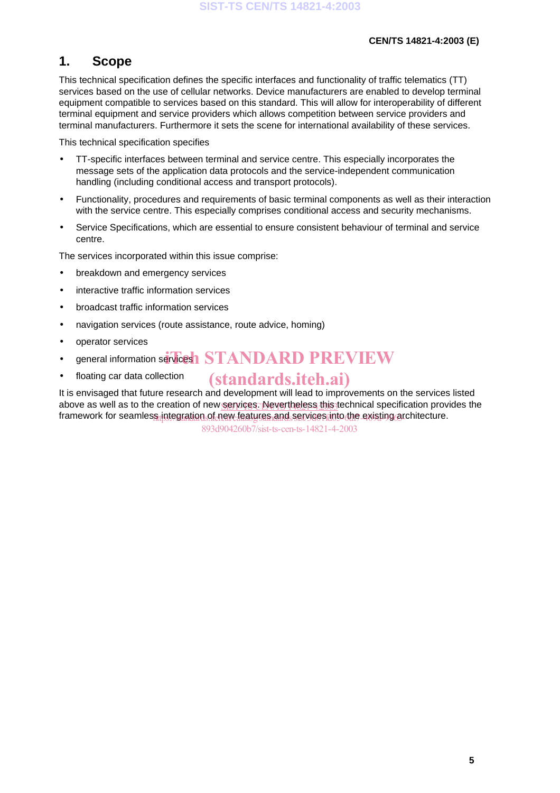## **1. Scope**

This technical specification defines the specific interfaces and functionality of traffic telematics (TT) services based on the use of cellular networks. Device manufacturers are enabled to develop terminal equipment compatible to services based on this standard. This will allow for interoperability of different terminal equipment and service providers which allows competition between service providers and terminal manufacturers. Furthermore it sets the scene for international availability of these services.

This technical specification specifies

- TT-specific interfaces between terminal and service centre. This especially incorporates the message sets of the application data protocols and the service-independent communication handling (including conditional access and transport protocols).
- Functionality, procedures and requirements of basic terminal components as well as their interaction with the service centre. This especially comprises conditional access and security mechanisms.
- Service Specifications, which are essential to ensure consistent behaviour of terminal and service centre.

The services incorporated within this issue comprise:

- breakdown and emergency services
- interactive traffic information services
- broadcast traffic information services
- navigation services (route assistance, route advice, homing)
- operator services
- general information services **STANDARD PREVIEW**
- floating car data collection

## (standards.iteh.ai)

It is envisaged that future research and development will lead to improvements on the services listed above as well as to the creation of new <u>services. Nevertheless this t</u>echnical specification provides the framework for seamles<u>s integration of new features and services into the existing a</u>rchitecture.

893d904260b7/sist-ts-cen-ts-14821-4-2003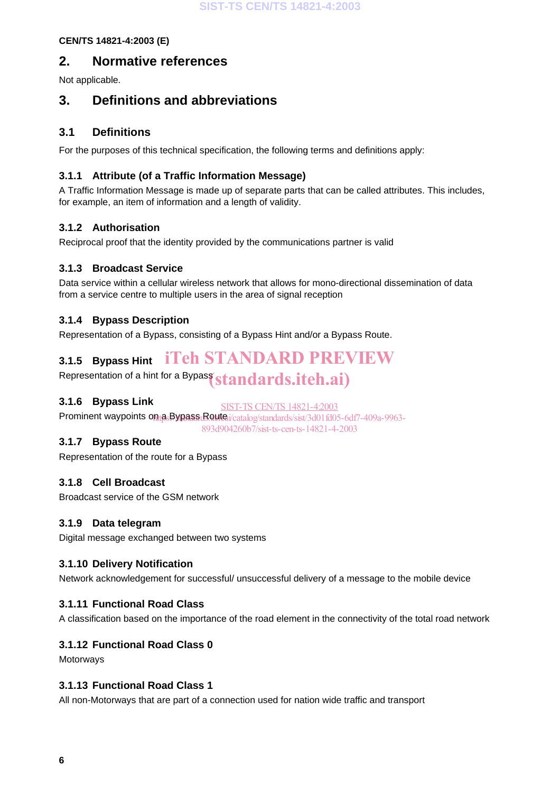## **2. Normative references**

Not applicable.

## **3. Definitions and abbreviations**

## **3.1 Definitions**

For the purposes of this technical specification, the following terms and definitions apply:

## **3.1.1 Attribute (of a Traffic Information Message)**

A Traffic Information Message is made up of separate parts that can be called attributes. This includes, for example, an item of information and a length of validity.

## **3.1.2 Authorisation**

Reciprocal proof that the identity provided by the communications partner is valid

## **3.1.3 Broadcast Service**

Data service within a cellular wireless network that allows for mono-directional dissemination of data from a service centre to multiple users in the area of signal reception

## **3.1.4 Bypass Description**

Representation of a Bypass, consisting of a Bypass Hint and/or a Bypass Route.

#### **3.1.5 Bypass Hint** iTeh STANDARD PREVIEW

Representation of a hint for a Bypass  $\pmb{standards.}$ ite $\pmb{h.\textbf{ai}})$ 

## **3.1.6 Bypass Link**

SIST-TS CEN/TS 14821-4:2003

Prominent waypoints on <sub>B</sub>Sypass Route i/catalog/standards/sist/3d01fd05-6df7-409a-9963-893d904260b7/sist-ts-cen-ts-14821-4-2003

## **3.1.7 Bypass Route**

Representation of the route for a Bypass

## **3.1.8 Cell Broadcast**

Broadcast service of the GSM network

## **3.1.9 Data telegram**

Digital message exchanged between two systems

## **3.1.10 Delivery Notification**

Network acknowledgement for successful/ unsuccessful delivery of a message to the mobile device

## **3.1.11 Functional Road Class**

A classification based on the importance of the road element in the connectivity of the total road network

## **3.1.12 Functional Road Class 0**

Motorways

## **3.1.13 Functional Road Class 1**

All non-Motorways that are part of a connection used for nation wide traffic and transport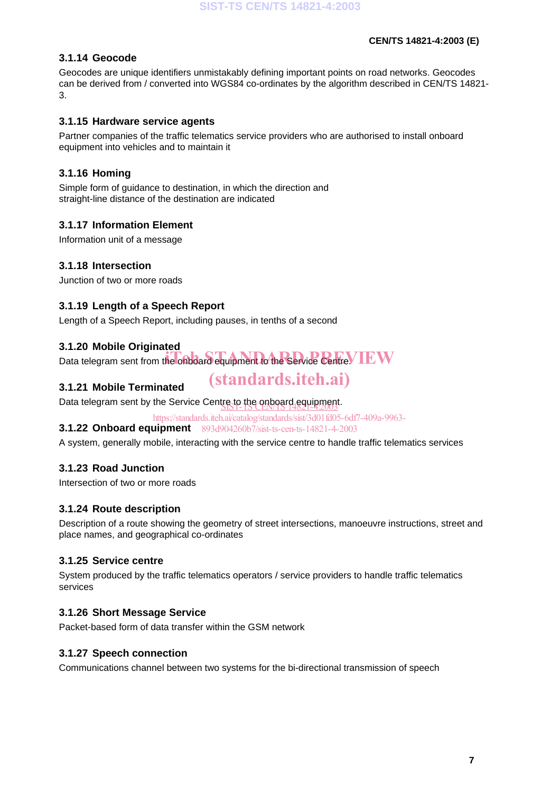## **3.1.14 Geocode**

Geocodes are unique identifiers unmistakably defining important points on road networks. Geocodes can be derived from / converted into WGS84 co-ordinates by the algorithm described in CEN/TS 14821- 3.

## **3.1.15 Hardware service agents**

Partner companies of the traffic telematics service providers who are authorised to install onboard equipment into vehicles and to maintain it

## **3.1.16 Homing**

Simple form of guidance to destination, in which the direction and straight-line distance of the destination are indicated

## **3.1.17 Information Element**

Information unit of a message

## **3.1.18 Intersection**

Junction of two or more roads

## **3.1.19 Length of a Speech Report**

Length of a Speech Report, including pauses, in tenths of a second

#### **3.1.20 Mobile Originated**

Data telegram sent from the onboard equipment to the Service Centre. IEW

## **3.1.21 Mobile Terminated**

Data telegram sent by the Service Centre to the onboard equipment.

https://standards.iteh.ai/catalog/standards/sist/3d01fd05-6df7-409a-9963-

(standards.iteh.ai)

**3.1.22 Onboard equipment** 893d904260b7/sist-ts-cen-ts-14821-4-2003

A system, generally mobile, interacting with the service centre to handle traffic telematics services

## **3.1.23 Road Junction**

Intersection of two or more roads

## **3.1.24 Route description**

Description of a route showing the geometry of street intersections, manoeuvre instructions, street and place names, and geographical co-ordinates

#### **3.1.25 Service centre**

System produced by the traffic telematics operators / service providers to handle traffic telematics services

#### **3.1.26 Short Message Service**

Packet-based form of data transfer within the GSM network

#### **3.1.27 Speech connection**

Communications channel between two systems for the bi-directional transmission of speech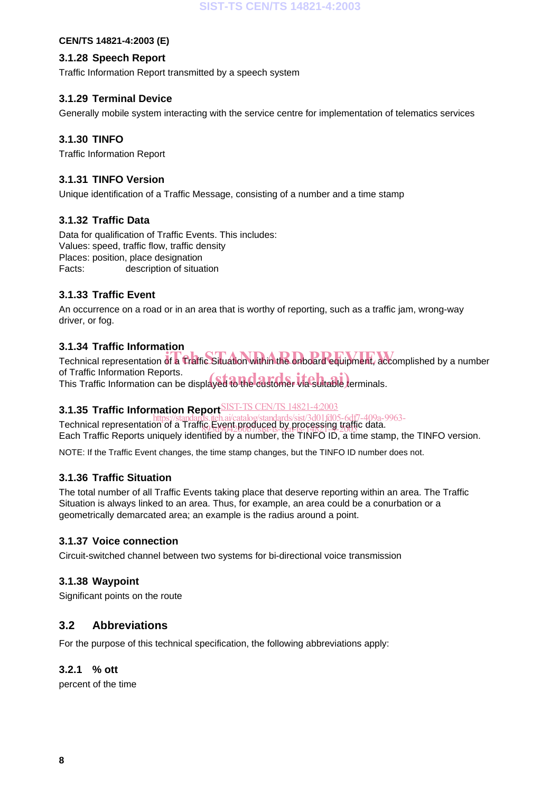#### **3.1.28 Speech Report**

Traffic Information Report transmitted by a speech system

## **3.1.29 Terminal Device**

Generally mobile system interacting with the service centre for implementation of telematics services

### **3.1.30 TINFO**

Traffic Information Report

### **3.1.31 TINFO Version**

Unique identification of a Traffic Message, consisting of a number and a time stamp

## **3.1.32 Traffic Data**

Data for qualification of Traffic Events. This includes: Values: speed, traffic flow, traffic density Places: position, place designation Facts: description of situation

## **3.1.33 Traffic Event**

An occurrence on a road or in an area that is worthy of reporting, such as a traffic jam, wrong-way driver, or fog.

#### **3.1.34 Traffic Information**

Technical representation of a Traffic Situation within the onboard equipment, accomplished by a number iTeh STANDARD PREVIEW of Traffic Information Reports. of Traffic Information Reports.<br>This Traffic Information can be displayed to the customer via suitable terminals.

#### **3.1.35 Traffic Information Report** ST-TS CEN/TS 14821-4:2003

First Produced Produced representation of a Traffic Event produced by processing traffic data. Each Traffic Reports uniquely identified by a number, the TINFO ID, a time stamp, the TINFO version. 89.5d904260b7/sist-ts-cen-ts-14821-4-2003

NOTE: If the Traffic Event changes, the time stamp changes, but the TINFO ID number does not.

#### **3.1.36 Traffic Situation**

The total number of all Traffic Events taking place that deserve reporting within an area. The Traffic Situation is always linked to an area. Thus, for example, an area could be a conurbation or a geometrically demarcated area; an example is the radius around a point.

#### **3.1.37 Voice connection**

Circuit-switched channel between two systems for bi-directional voice transmission

## **3.1.38 Waypoint**

Significant points on the route

## **3.2 Abbreviations**

For the purpose of this technical specification, the following abbreviations apply:

## **3.2.1 % ott**

percent of the time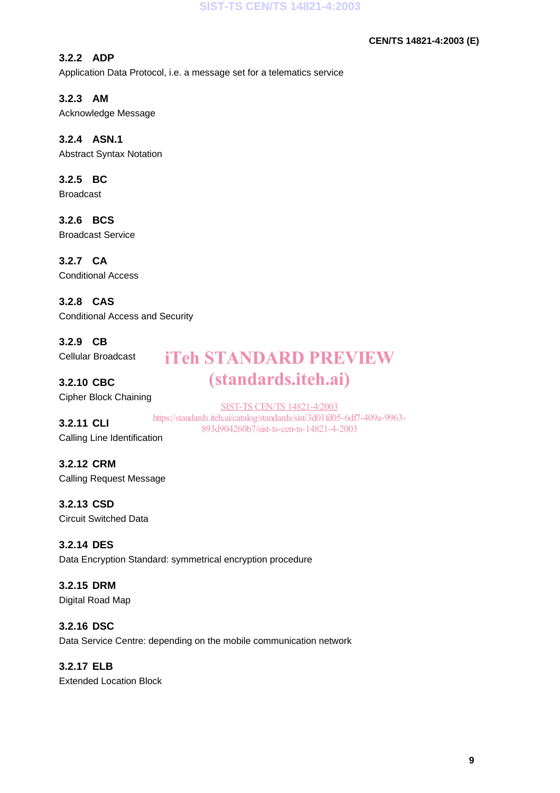## **3.2.2 ADP**

Application Data Protocol, i.e. a message set for a telematics service

## **3.2.3 AM**

Acknowledge Message

## **3.2.4 ASN.1**

Abstract Syntax Notation

## **3.2.5 BC**

Broadcast

## **3.2.6 BCS**

Broadcast Service

## **3.2.7 CA**

Conditional Access

## **3.2.8 CAS**

Conditional Access and Security

## **3.2.9 CB**

Cellular Broadcast

## **3.2.10 CBC**

Cipher Block Chaining

## **3.2.11 CLI**

SIST-TS CEN/TS 14821-4:2003 https://standards.iteh.ai/catalog/standards/sist/3d01fd05-6df7-409a-9963- 893d904260b7/sist-ts-cen-ts-14821-4-2003

iTeh STANDARD PREVIEW

(standards.iteh.ai)

## Calling Line Identification

**3.2.12 CRM** Calling Request Message

## **3.2.13 CSD**

Circuit Switched Data

## **3.2.14 DES**

Data Encryption Standard: symmetrical encryption procedure

## **3.2.15 DRM**

Digital Road Map

#### **3.2.16 DSC**

Data Service Centre: depending on the mobile communication network

## **3.2.17 ELB**

Extended Location Block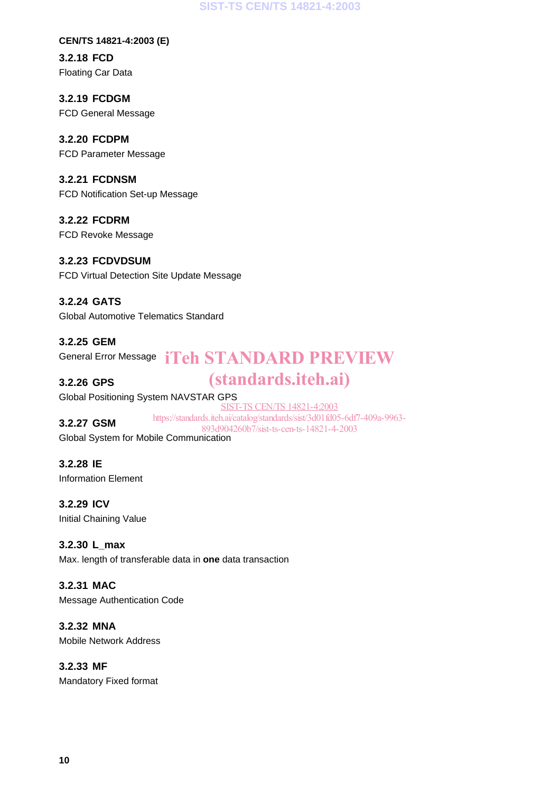#### **SIST-TS CEN/TS 14821-4:2003**

#### **CEN/TS 14821-4:2003 (E)**

**3.2.18 FCD** Floating Car Data

**3.2.19 FCDGM** FCD General Message

## **3.2.20 FCDPM**

FCD Parameter Message

## **3.2.21 FCDNSM**

FCD Notification Set-up Message

**3.2.22 FCDRM** FCD Revoke Message

## **3.2.23 FCDVDSUM**

FCD Virtual Detection Site Update Message

**3.2.24 GATS** Global Automotive Telematics Standard

**3.2.25 GEM** General Error Message iTeh STANDARD PREVIEW

## **3.2.26 GPS**

# (standards.iteh.ai)

Global Positioning System NAVSTAR GPS

## **3.2.27 GSM**

SIST-TS CEN/TS 14821-4:2003

https://standards.iteh.ai/catalog/standards/sist/3d01fd05-6df7-409a-9963- 893d904260b7/sist-ts-cen-ts-14821-4-2003

Global System for Mobile Communication

**3.2.28 IE** Information Element

**3.2.29 ICV** Initial Chaining Value

**3.2.30 L\_max** Max. length of transferable data in **one** data transaction

## **3.2.31 MAC**

Message Authentication Code

**3.2.32 MNA** Mobile Network Address

**3.2.33 MF**

Mandatory Fixed format